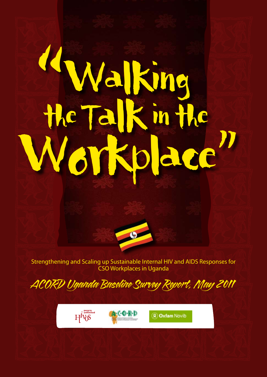# Walking the Talk in the **STRO**

Strengthening and Scaling up Sustainable Internal HIV and AIDS Responses for CSO Workplaces in Uganda

ACORD Uganda Baseline Survey Report, May 2011





**(R) Oxfam Novib**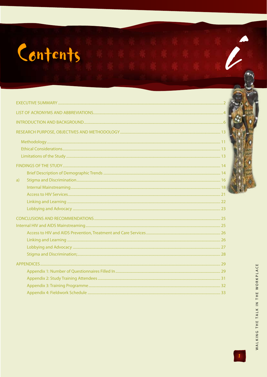## Contents

| a) |  |
|----|--|
|    |  |
|    |  |
|    |  |
|    |  |
|    |  |
|    |  |
|    |  |
|    |  |
|    |  |
|    |  |
|    |  |
|    |  |
|    |  |
|    |  |
|    |  |

R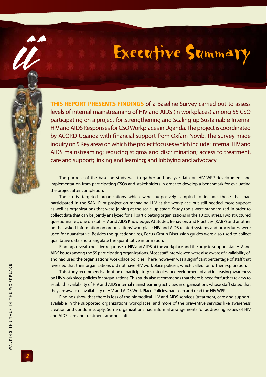## Exceutive Summary

**THIS REPORT PRESENTS FINDINGS** of a Baseline Survey carried out to assess levels of internal mainstreaming of HIV and AIDS (in workplaces) among 55 CSO participating on a project for Strengthening and Scaling up Sustainable Internal HIV and AIDS Responses for CSO Workplaces in Uganda. The project is coordinated by ACORD Uganda with financial support from Oxfam Novib. The survey made inquiry on 5 Key areas on which the project focuses which include: Internal HIV and AIDS mainstreaming; reducing stigma and discrimination; access to treatment, care and support; linking and learning; and lobbying and advocacy.

The purpose of the baseline study was to gather and analyze data on HIV WPP development and implementation from participating CSOs and stakeholders in order to develop a benchmark for evaluating the project after completion.

The study targeted organizations which were purposively sampled to include those that had participated in the SAN! Pilot project on managing HIV at the workplace but still needed more support as well as organizations that were joining at the scale-up stage. Study tools were standardized in order to collect data that can be jointly analyzed for all participating organizations in the 10 countries. Two structured questionnaires, one on staff HIV and AIDS Knowledge, Attitudes, Behaviors and Practices (KABP) and another on that asked information on organizations' workplace HIV and AIDS related systems and procedures, were used for quantitative. Besides the questionnaires, Focus Group Discussion guides were also used to collect qualitative data and triangulate the quantitative information.

Findings reveal a positive response to HIV and AIDS at the workplace and the urge to support staff HIV and AIDS issues among the 55 participating organizations. Most staff interviewed were also aware of availability of, and had used the organizations' workplace policies. There, however, was a significant percentage of staff that revealed that their organizations did not have HIV workplace policies, which called for further exploration.

This study recommends adoption of participatory strategies for development of and increasing awareness on HIV workplace policies for organizations. This study also recommends that there is need for further review to establish availability of HIV and AIDS internal mainstreaming activities in organizations whose staff stated that they are aware of availability of HIV and AIDS Work Place Policies, had seen and read the HIV WPP.

Findings show that there is less of the biomedical HIV and AIDS services (treatment, care and support) available in the supported organizations' workplaces, and more of the preventive services like awareness creation and condom supply. Some organizations had informal arrangements for addressing issues of HIV and AIDS care and treatment among staff.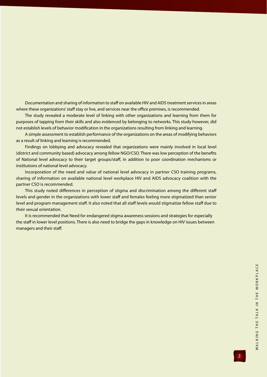Documentation and sharing of information to staff on available HIV and AIDS treatment services in areas where these organizations' staff stay or live, and services near the office premises, is recommended.

The study revealed a moderate level of linking with other organizations and learning from them for purposes of tapping from their skills and also evidenced by belonging to networks. This study however, did not establish levels of behavior modification in the organizations resulting from linking and learning.

A simple assessment to establish performance of the organizations on the areas of modifying behaviors as a result of linking and learning is recommended.

Findings on lobbying and advocacy revealed that organizations were mainly involved in local level (district and community based) advocacy among fellow NGO/CSO. There was low perception of the benefits of National level advocacy to their target groups/staff, in addition to poor coordination mechanisms or institutions of national level advocacy.

Incorporation of the need and value of national level advocacy in partner CSO training programs, sharing of information on available national level workplace HIV and AIDS advocacy coalition with the partner CSO is recommended.

This study noted differences in perception of stigma and discrimination among the different staff levels and gender in the organizations with lower staff and females feeling more stigmatized than senior level and program management staff. It also noted that all staff levels would stigmatize fellow staff due to their sexual orientation.

It is recommended that Need for endangered stigma awareness sessions and strategies for especially the staff in lower level positions. There is also need to bridge the gaps in knowledge on HIV issues between managers and their staff.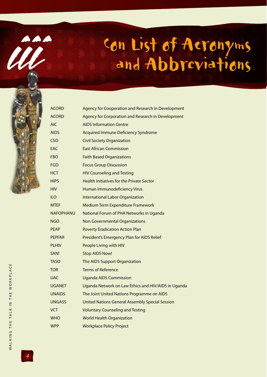# Con List of Acronyms

| <b>ACORD</b>     | Agency for Cooperation and Research in Development     |
|------------------|--------------------------------------------------------|
| <b>ACORD</b>     | Agency for Corporation and Research in Development     |
| <b>AIC</b>       | <b>AIDS Information Centre</b>                         |
| <b>AIDS</b>      | <b>Acquired Immune Deficiency Syndrome</b>             |
| <b>CSO</b>       | <b>Civil Society Organization</b>                      |
| <b>EAC</b>       | <b>East African Commission</b>                         |
| <b>FBO</b>       | <b>Faith Based Organizations</b>                       |
| FGD              | <b>Focus Group Discussion</b>                          |
| <b>HCT</b>       | <b>HIV Counseling and Testing</b>                      |
| <b>HIPS</b>      | <b>Health Initiatives for the Private Sector</b>       |
| <b>HIV</b>       | Human Immunodeficiency Virus                           |
| ilo              | <b>International Labor Organization</b>                |
| <b>MTEF</b>      | Medium Term Expenditure Framework                      |
| <b>NAFOPHANU</b> | National Forum of PHA Networks in Uganda               |
| <b>NGO</b>       | <b>Non Governmental Organizations</b>                  |
| <b>PEAP</b>      | <b>Poverty Eradication Action Plan</b>                 |
| <b>PEPFAR</b>    | President's Emergency Plan for AIDS Relief             |
| <b>PLHIV</b>     | People Living with HIV                                 |
| SAN!             | <b>Stop AIDS Now!</b>                                  |
| <b>TASO</b>      | The AIDS Support Organization                          |
| TOR.             | Terms of Reference                                     |
| <b>UAC</b>       | <b>Uganda AIDS Commission</b>                          |
| <b>UGANET</b>    | Uganda Network on Law Ethics and HIV/AIDS in Uganda    |
| <b>UNAIDS</b>    | The Joint United Nations Programme on AIDS             |
| <b>UNGASS</b>    | <b>United Nations General Assembly Special Session</b> |
| <b>VCT</b>       | <b>Voluntary Counseling and Testing</b>                |
| <b>WHO</b>       | <b>World Health Organization</b>                       |
| <b>WPP</b>       | <b>Workplace Policy Project</b>                        |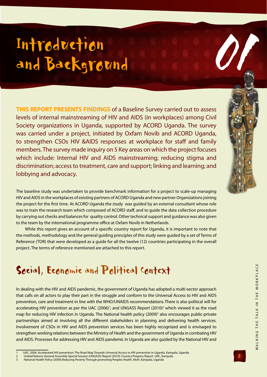## Introduction and Background

**THIS REPORT PRESENTS FINDINGS** of a Baseline Survey carried out to assess levels of internal mainstreaming of HIV and AIDS (in workplaces) among Civil Society organizations in Uganda, supported by ACORD Uganda. The survey was carried under a project, initiated by Oxfam Novib and ACORD Uganda, to strengthen CSOs HIV &AIDS responses at workplace for staff and family members. The survey made inquiry on 5 Key areas on which the project focuses which include: Internal HIV and AIDS mainstreaming; reducing stigma and discrimination; access to treatment, care and support; linking and learning; and lobbying and advocacy.

The baseline study was undertaken to provide benchmark information for a project to scale-up managing HIV and AIDS in the workplaces of existing partners of ACORD Uganda and new partner Organizations joining the project for the first time. At ACORD Uganda the study was guided by an external consultant whose role was to train the research team which composed of ACORD staff, and to guide the data collection procedure by carrying out checks and balances for quality control. Other technical support and guidance was also given to the team by the international programme office at Oxfam Novib in Netherlands.

While this report gives an account of a specific country report for Uganda, it is important to note that the methods, methodology and the general guiding principles of this study were guided by a set of Terms of Reference (TOR) that were developed as a guide for all the twelve (12) countries participating in the overall project. The terms of reference mentioned are attached to this report.

## Social, Economic and Political Context

In dealing with the HIV and AIDS pandemic, the government of Uganda has adopted a multi-sector approach that calls on all actors to play their part in the struggle and conform to the Universal Access to HIV and AIDS prevention, care and treatment in line with the WHO/UNAIDS recommendations.There is also political will for accelerating HIV prevention as per the UAC (2006)<sup>1</sup>; and UNGASS Report (2010)<sup>2</sup> which viewed it as the road map for reducing HIV infection in Uganda. The National health policy (2009)<sup>3</sup> also encourages public-private partnerships aimed at involving all the different stakeholders in planning and delivering health services. Involvement of CSOs in HIV and AIDS prevention services has been highly recognized and is envisaged to strengthen working relations between the Ministry of Health and the government of Uganda in combating HIV and AIDS. Processes for addressing HIV and AIDS pandemic in Uganda are also guided by the National HIV and

<sup>1</sup> UAC, 2006. Accelerated HIV prevention: The Road Map Towards Universal Access to HIV prevention in Uganda. Kampala, Uganda

<sup>2</sup> United Nations General Assembly Special Session (UNGASS) Report (2010): Country Progress Report. UAC, Kampala.<br>2 National Health Policy (2009) Reducing Poverty Through promoting Peoples Health MoH Kampala Uganda

National Health Policy (2009).Reducing Poverty Through promoting Peoples Health. MoH, Kampala, Uganda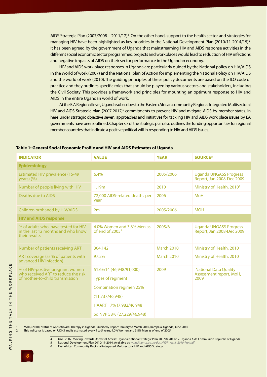AIDS Strategic Plan (2007/2008 - 2011/12)<sup>4</sup>. On the other hand, support to the health sector and strategies for managing HIV have been highlighted as key priorities in the National Development Plan (2010/11-2014/15)<sup>5</sup>. It has been agreed by the government of Uganda that mainstreaming HIV and AIDS response activities in the different social economic sector programmes, projects and workplaces would lead to reduction of HIV infections and negative impacts of AIDS on their sector performance in the Ugandan economy.

HIV and AIDS work place responses in Uganda are particularly guided by the National policy on HIV/AIDS in the World of work (2007) and the National plan of Action for implementing the National Policy on HIV/AIDS and the world of work (2010).The guiding principles of these policy documents are based on the ILO code of practice and they outlines specific roles that should be played by various sectors and stakeholders, including the Civil Society. This provides a framework and principles for mounting an optimum response to HIV and AIDS in the entire Ugandan world of work.

At the E.A Regional level, Uganda subscribes to the Eastern African community Regional Integrated Multisectoral HIV and AIDS Strategic plan (2007-2012)<sup>6</sup> commitments to prevent HIV and mitigate AIDS by member states. In here under strategic objective seven, approaches and initiatives for tackling HIV and AIDS work place issues by EA governments have been outlined. Chapter six of the strategic plan also outlines the funding opportunities for regional member countries that indicate a positive political will in responding to HIV and AIDS issues.

| <b>INDICATOR</b>                                                                                           | <b>VALUE</b>                                                                                                                                               | <b>YEAR</b>       | <b>SOURCE*</b>                                                  |  |  |
|------------------------------------------------------------------------------------------------------------|------------------------------------------------------------------------------------------------------------------------------------------------------------|-------------------|-----------------------------------------------------------------|--|--|
| <b>Epidemiology</b>                                                                                        |                                                                                                                                                            |                   |                                                                 |  |  |
| <b>Estimated HIV prevalence (15-49</b><br>$years)$ $(\%)$                                                  | 6.4%                                                                                                                                                       | 2005/2006         | <b>Uganda UNGASS Progress</b><br>Report, Jan 2008-Dec 2009      |  |  |
| Number of people living with HIV                                                                           | 1.19m                                                                                                                                                      | 2010              | Ministry of Health, 2010 <sup>1</sup>                           |  |  |
| Deaths due to AIDS                                                                                         | 72,000 AIDS-related deaths per<br>year                                                                                                                     | 2006              | <b>MoH</b>                                                      |  |  |
| Children orphaned by HIV/AIDS                                                                              | 2m                                                                                                                                                         | 2005/2006         | <b>MOH</b>                                                      |  |  |
| <b>HIV and AIDS response</b>                                                                               |                                                                                                                                                            |                   |                                                                 |  |  |
| % of adults who have tested for HIV<br>in the last 12 months and who know<br>their results                 | 4.0% Women and 3.8% Men as<br>of end of $2005^2$                                                                                                           | 2005/6            | <b>Uganda UNGASS Progress</b><br>Report, Jan 2008-Dec 2009      |  |  |
| Number of patients receiving ART                                                                           | 304,142                                                                                                                                                    | <b>March 2010</b> | Ministry of Health, 2010                                        |  |  |
| ART coverage (as % of patients with<br>advanced HIV infection)                                             | 97.2%                                                                                                                                                      | <b>March 2010</b> | Ministry of Health, 2010                                        |  |  |
| % of HIV-positive pregnant women<br>who received ART to reduce the risk<br>of mother-to-child transmission | 51.6%14 (46,948/91,000)<br><b>Types of regiment</b><br>Combination regimen 25%<br>(11,737/46,948)<br>HAART 17% (7,982/46,948<br>Sd NVP 58% (27,229/46,948) | 2009              | <b>National Data Quality</b><br>Assessment report, MoH,<br>2009 |  |  |

#### **Table 1: General Social Economic Profile and HIV and AIDS Estimates of Uganda**

1 MoH, (2010), Status of Antiretroviral Therapy in Uganda: Quarterly Report January to March 2010, Kampala, Uganda, June 2010

2 This indicator is based on UDHS and is estimated every 4 to 5 years, 4.0% Women and 3.8% Men as of end of 2005

- 4 UAC, 2007. Moving Towards Universal Access: Uganda National strategic Plan 2007/8-2011/12. Uganda Aids Commission Republic of Uganda.<br>5 National Development Plan 2010/11-2014. Available at: www.finance.go.ug/docs/NDP\_Apr
- 5 National Development Plan 2010/11-2014. Available at: *www.finance.go.ug/docs/NDP\_April\_2010-Prot.pdf*
	- East African Community Regional integrated Multisectoral HIV and AIDS Strategic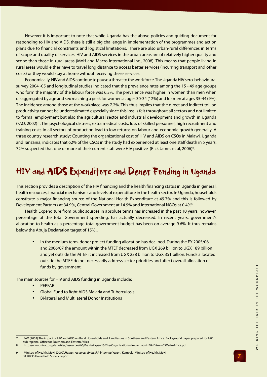However it is important to note that while Uganda has the above policies and guiding document for responding to HIV and AIDS, there is still a big challenge in implementation of the programmes and action plans due to financial constraints and logistical limitations. There are also urban-rural differences in terms of scope and quality of services. HIV and AIDS services in the urban areas are of relatively higher quality and scope than those in rural areas (MoH and Macro International Inc., 2008). This means that people living in rural areas would either have to travel long distance to access better services (incurring transport and other costs) or they would stay at home without receiving these services.

Economically, HIV and AIDS continue to pause a threat to the work force. The Uganda HIV sero-behavioural survey 2004 -05 and longitudinal studies indicated that the prevalence rates among the 15 - 49 age groups who form the majority of the labour force was 6.3%. The prevalence was higher in women than men when disaggregated by age and sex reaching a peak for women at ages 30-34 (12%) and for men at ages 35-44 (9%). The incidence among those at the workplace was 7.2%. This thus implies that the direct and indirect toll on productivity cannot be underestimated especially since this loss is felt throughout all sectors and not limited to formal employment but also the agricultural sector and industrial development and growth in Uganda (FAO, 2002)<sup>7</sup>. The psychological distress, extra medical costs, loss of skilled personnel, high recruitment and training costs in all sectors of production lead to low returns on labour and economic growth generally. A three country research study; 'Counting the organizational cost of HIV and AIDS on CSOs in Malawi, Uganda and Tanzania, indicates that 62% of the CSOs in the study had experienced at least one staff death in 5 years, 72% suspected that one or more of their current staff were HIV positive (Rick James et al, 2006)<sup>8</sup>.

### HIV and AIDS Expenditure and Donor Funding in Uganda

This section provides a description of the HIV financing and the health financing status in Uganda in general, health resources, financial mechanisms and levels of expenditure in the health sector. In Uganda, households constitute a major financing source of the National Health Expenditure at 49.7% and this is followed by Development Partners at 34.9%, Central Government at 14.9% and international NGOs at 0.4%9

Health Expenditure from public sources in absolute terms has increased in the past 10 years, however, percentage of the total Government spending, has actually decreased. In recent years, government's allocation to health as a percentage total government budget has been on average 9.6%. It thus remains below the Abuja Declaration target of 15%...

• In the medium term, donor project funding allocation has declined. During the FY 2005/06 and 2006/07 the amount within the MTEF decreased from UGX 269 billion to UGX 189 billion and yet outside the MTEF it increased from UGX 238 billion to UGX 351 billion. Funds allocated outside the MTEF do not necessarily address sector priorities and affect overall allocation of funds by government.

The main sources for HIV and AIDS funding in Uganda include:

- • PEPFAR
- • Global Fund to fight AIDS Malaria and Tuberculosis
- **Bi-lateral and Multilateral Donor Institutions**

FAO (2002).The impact of HIV and AIDS on Rural Households and Land issues in Southern and Eastern Africa: Back ground paper prepared for FAO sub regional Office for Southern and Eastern Africa

<sup>8</sup> http://www.intrac.org/data/files/resources/66/Praxis-Paper-13-The-Organisational-Impacts-of-HIVAIDS-on-CSOs-in-Africa.pdf

<sup>9</sup> Ministry of Health. MoH. (2009).*Human resources for health bi-annual report*. Kampala: Ministry of Health. MoH. 31 UBOS Household Survey Report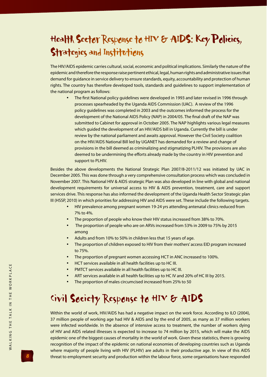## Health Sector Response to HIV & AIDS: Key Policies, Strategies and Institutions

The HIV/AIDS epidemic carries cultural, social, economic and political implications. Similarly the nature of the epidemic and therefore the response raise pertinent ethical, legal, human rights and administrative issues that demand for guidance in service delivery to ensure standards, equity, accountability and protection of human rights. The country has therefore developed tools, standards and guidelines to support implementation of the national program as follows:

The first National policy guidelines were developed in 1993 and later revised in 1996 through processes spearheaded by the Uganda AIDS Commission (UAC). A review of the 1996 policy guidelines was completed in 2003 and the outcomes informed the process for the development of the National AIDS Policy (NAP) in 2004/05. The final draft of the NAP was submitted to Cabinet for approval in October 2005. The NAP highlights various legal measures which guided the development of an HIV/AIDS bill in Uganda. Currently the bill is under review by the national parliament and awaits approval. However the Civil Society coalition on the HIV/AIDS National Bill led by UGANET has demanded for a review and change of provisions in the bill deemed as criminalizing and stigmatizing PLHIV. The provisions are also deemed to be undermining the efforts already made by the country in HIV prevention and support to PLHIV.

Besides the above developments the National Strategic Plan 2007/8-2011/12 was initiated by UAC in December 2005. This was done through a very comprehensive consultation process which was concluded in November 2007. This National HIV & AIDS strategic Plan was also developed in line with global and national development requirements for universal access to HIV & AIDS prevention, treatment, care and support services drive. This response has also informed the development of the Uganda Health Sector Strategic plan III (HSSP, 2010) in which priorities for addressing HIV and AIDS were set. These include the following targets.

- HIV prevalence among pregnant women 19-24 yrs attending antenatal clinics reduced from 7% to 4%.
- The proportion of people who know their HIV status increased from 38% to 70%.
- The proportion of people who are on ARVs increased from 53% in 2009 to 75% by 2015 among
- Adults and from 10% to 50% in children less that 15 years of age.
- The proportion of children exposed to HIV from their mothers' access EID program increased to 75%.
- The proportion of pregnant women accessing HCT in ANC increased to 100%.
- HCT services available in all health facilities up to HC III.
- PMTCT services available in all health facilities up to HC III.
- ART services available in all health facilities up to HC IV and 20% of HC III by 2015.
- The proportion of males circumcised increased from 25% to 50

## Civil Society Response to HIV & AIDS

Within the world of work, HIV/AIDS has had a negative impact on the work force. According to ILO (2004), 37 million people of working age had HIV & AIDS and by the end of 2005, as many as 37 million workers were infected worldwide. In the absence of intensive access to treatment, the number of workers dying of HIV and AIDS related illnesses is expected to increase to 74 million by 2015, which will make the AIDS epidemic one of the biggest causes of mortality in the world of work. Given these statistics, there is growing recognition of the impact of the epidemic on national economies of developing countries such as Uganda where majority of people living with HIV (PLHIV) are adults in their productive age. In view of this AIDS threat to employment security and production within the labour force, some organisations have responded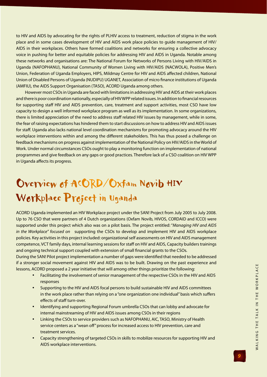to HIV and AIDS by advocating for the rights of PLHIV access to treatment, reduction of stigma in the work place and in some cases development of HIV and AIDS work place policies to guide management of HIV/ AIDS in their workplaces. Others have formed coalitions and networks for ensuring a collective advocacy voice in pushing for better and equitable policies for addressing HIV and AIDS in Uganda. Notable among these networks and organisations are: The National Forum for Networks of Persons Living with HIV/AIDS in Uganda (NAFOPHANU), National Community of Women Living with HIV/AIDS (NACWOLA), Positive Men's Union, Federation of Uganda Employers, HIPS, Mildmay Centre for HIV and AIDS affected children, National Union of Disabled Persons of Uganda (NUDIPU) UGANET, Association of micro finance institutions of Uganda (AMFIU), the AIDS Support Organisation (TASO), ACORD Uganda among others.

However most CSOs in Uganda are faced with limitations in addressing HIV and AIDS at their work places and there is poor coordination nationally, especially of HIV WPP related issues. In addition to financial resources for supporting staff HIV and AIDS prevention, care, treatment and support activities, most CSO have low capacity to design a well informed workplace program as well as its implementation. In some organizations, there is limited appreciation of the need to address staff related HIV issues by management, while in some, the fear of raising expectations has hindered them to start discussions on how to address HIV and AIDS issues for staff. Uganda also lacks national level coordination mechanisms for promoting advocacy around the HIV workplace interventions within and among the different stakeholders. This has thus posed a challenge on feedback mechanisms on progress against implementation of the National Policy on HIV/AIDS in the World of Work. Under normal circumstances CSOs ought to play a monitoring function on implementation of national programmes and give feedback on any gaps or good practices. Therefore lack of a CSO coalition on HIV WPP in Uganda affects its progress.

## Overview of ACORD/Oxfam Novib HIV Workplace Project in Uganda

ACORD Uganda implemented an HIV Workplace project under the SAN! Project from July 2005 to July 2008. Up to 76 CSO that were partners of 4 Dutch organizations (Oxfam Novib, HIVOS, CORDAID and ICCO) were supported under this project which also was on a pilot basis. The project entitled: "*Managing HIV and AIDS in the Workplace" focused on* supporting the CSOs to develop and implement HIV and AIDS workplace policies. Key activities in this project included: organizational self assessments on HIV and AIDS management competence, VCT family days, internal learning sessions for staff on HIV and AIDS, Capacity builders trainings and ongoing technical support coupled with extension of small financial grants to the CSOs.

During the SAN! Pilot project implementation a number of gaps were identified that needed to be addressed if a stronger social movement against HIV and AIDS was to be built. Drawing on the past experience and lessons, ACORD proposed a 2 year initiative that will among other things prioritize the following:

- Facilitating the involvement of senior management of the respective CSOs in the HIV and AIDS responses
- • Supporting to the HIV and AIDS focal persons to build sustainable HIV and AIDS committees in the work place rather than relying on a "one organization one individual" basis which suffers effects of staff turn-over.
- Identifying and supporting Regional Forum umbrella CSOs that can lobby and advocate for internal mainstreaming of HIV and AIDS issues among CSOs in their regions
- Linking the CSOs to service providers such as NAFOPHANU, AIC, TASO, Ministry of Health service centers as a "wean off" process for increased access to HIV prevention, care and treatment services.
- Capacity strengthening of targeted CSOs in skills to mobilize resources for supporting HIV and AIDS workplace interventions.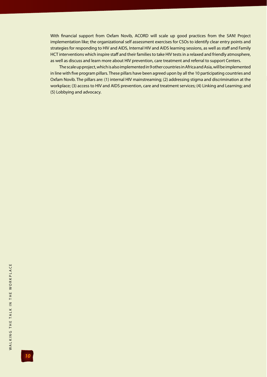With financial support from Oxfam Novib, ACORD will scale up good practices from the SAN! Project implementation like; the organizational self assessment exercises for CSOs to identify clear entry points and strategies for responding to HIV and AIDS, Internal HIV and AIDS learning sessions, as well as staff and Family HCT interventions which inspire staff and their families to take HIV tests in a relaxed and friendly atmosphere, as well as discuss and learn more about HIV prevention, care treatment and referral to support Centers.

The scale up project, which is also implemented in 9 other countries in Africa and Asia, will be implemented in line with five program pillars. These pillars have been agreed upon by all the 10 participating countries and Oxfam Novib. The pillars are: (1) internal HIV mainstreaming; (2) addressing stigma and discrimination at the workplace; (3) access to HIV and AIDS prevention, care and treatment services; (4) Linking and Learning; and (5) Lobbying and advocacy.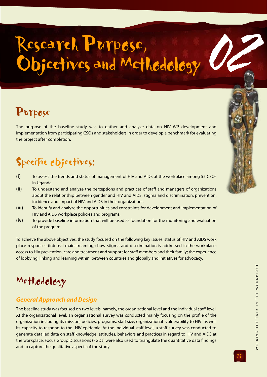## Research Purpose, Research Purpose,

## Purpose

The purpose of the baseline study was to gather and analyze data on HIV WP development and implementation from participating CSOs and stakeholders in order to develop a benchmark for evaluating the project after completion.

## Specific objectives:

- (i) To assess the trends and status of management of HIV and AIDS at the workplace among 55 CSOs in Uganda.
- (ii) To understand and analyze the perceptions and practices of staff and managers of organizations about the relationship between gender and HIV and AIDS, stigma and discrimination, prevention, incidence and impact of HIV and AIDS in their organizations.
- (iii) To identify and analyze the opportunities and constraints for development and implementation of HIV and AIDS workplace policies and programs.
- (iv) To provide baseline information that will be used as foundation for the monitoring and evaluation of the program.

To achieve the above objectives, the study focused on the following key issues: status of HIV and AIDS work place responses (internal mainstreaming); how stigma and discrimination is addressed in the workplace; access to HIV prevention, care and treatment and support for staff members and their family; the experience of lobbying, linking and learning within, between countries and globally and initiatives for advocacy.

## Methodology

#### *General Approach and Design*

The baseline study was focused on two levels, namely, the organizational level and the individual staff level. At the organizational level, an organizational survey was conducted mainly focusing on the profile of the organization including its mission, policies, programs, staff size, organizational vulnerability to HIV as well its capacity to respond to the HIV epidemic. At the individual staff level, a staff survey was conducted to generate detailed data on staff knowledge, attitudes, behaviors and practices in regard to HIV and AIDS at the workplace. Focus Group Discussions (FGDs) were also used to triangulate the quantitative data findings and to capture the qualitative aspects of the study.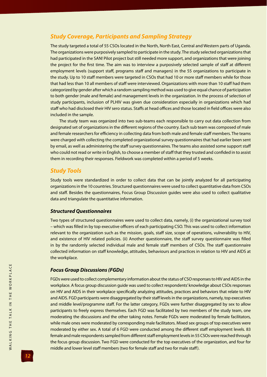#### *Study Coverage, Participants and Sampling Strategy*

The study targeted a total of 55 CSOs located in the North, North East, Central and Western parts of Uganda. The organizations were purposively sampled to participate in the study. The study selected organizations that had participated in the SAN! Pilot project but still needed more support, and organizations that were joining the project for the first time. The aim was to interview a purposively selected sample of staff at different employment levels (support staff, programs staff and managers) in the 55 organizations to participate in the study. Up to 10 staff members were targeted in CSOs that had 10 or more staff members while for those that had less than 10 all members of staff were interviewed. Organizations with more than 10 staff had them categorized by gender after which a random sampling method was used to give equal chance of participation to both gender (male and female) and management levels in the organization. In the process of selection of study participants, inclusion of PLHIV was given due consideration especially in organizations which had staff who had disclosed their HIV sero status. Staffs at head offices and those located in field offices were also included in the sample.

The study team was organized into two sub-teams each responsible to carry out data collection from designated set of organizations in the different regions of the country. Each sub team was composed of male and female researchers for efficiency in collecting data from both male and female staff members. The teams were charged with collecting the completed organizational survey questionnaires that had earlier been sent by email, as well as administering the staff survey questionnaires. The teams also assisted some support staff who could not read or write in English, to choose a member of staff that they trusted and confided in to assist them in recording their responses. Fieldwork was completed within a period of 5 weeks.

#### *Study Tools*

Study tools were standardized in order to collect data that can be jointly analyzed for all participating organizations in the 10 countries. Structured questionnaires were used to collect quantitative data from CSOs and staff. Besides the questionnaires, Focus Group Discussion guides were also used to collect qualitative data and triangulate the quantitative information.

#### *Structured Questionnaires*

Two types of structured questionnaires were used to collect data, namely, (i) the organizational survey tool – which was filled in by top executive officers of each participating CSO. This was used to collect information relevant to the organization such as the mission, goals, staff size, scope of operations, vulnerability to HIV, and existence of HIV related policies. (ii) Another questionnaire, the staff survey questionnaire was filled in by the randomly selected individual male and female staff members of CSOs. The staff questionnaire collected information on staff knowledge, attitudes, behaviours and practices in relation to HIV and AIDS at the workplace.

#### *Focus Group Discussions (FGDs)*

FGDs were used to collect complementary information about the status of CSO responses to HIV and AIDS in the workplace. A focus group discussion guide was used to collect respondents' knowledge about CSOs responses on HIV and AIDS in their workplace specifically analyzing attitudes, practices and behaviors that relate to HIV and AIDS. FGD participants were disaggregated by their staff levels in the organizations, namely, top executives and middle level/programme staff. For the latter category, FGDs were further disaggregated by sex to allow participants to freely express themselves. Each FGD was facilitated by two members of the study team, one moderating the discussions and the other taking notes. Female FGDs were moderated by female facilitators, while male ones were moderated by corresponding male facilitators. Mixed sex groups of top executives were moderated by either sex. A total of 6 FGD were conducted among the different staff employment levels. 83 female and male respondents sampled from different staff employment levels in 55 CSOs were reached through the focus group discussion. Two FGD were conducted for the top executives of the organization, and four for middle and lower level staff members (two for female staff and two for male staff).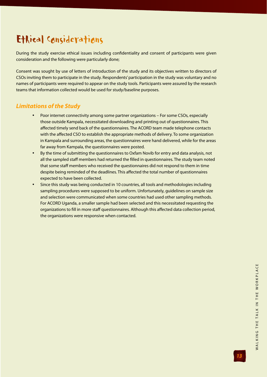## Ethical Considerations

During the study exercise ethical issues including confidentiality and consent of participants were given consideration and the following were particularly done;

Consent was sought by use of letters of introduction of the study and its objectives written to directors of CSOs inviting them to participate in the study. Respondents' participation in the study was voluntary and no names of participants were required to appear on the study tools. Participants were assured by the research teams that information collected would be used for study/baseline purposes.

#### *Limitations of the Study*

- Poor internet connectivity among some partner organizations For some CSOs, especially those outside Kampala, necessitated downloading and printing out of questionnaires. This affected timely send back of the questionnaires. The ACORD team made telephone contacts with the affected CSO to establish the appropriate methods of delivery. To some organization in Kampala and surrounding areas, the questionnaires were hand delivered, while for the areas far away from Kampala, the questionnaires were posted.
- By the time of submitting the questionnaires to Oxfam Novib for entry and data analysis, not all the sampled staff members had returned the filled in questionnaires. The study team noted that some staff members who received the questionnaires did not respond to them in time despite being reminded of the deadlines. This affected the total number of questionnaires expected to have been collected.
- Since this study was being conducted in 10 countries, all tools and methodologies including sampling procedures were supposed to be uniform. Unfortunately, guidelines on sample size and selection were communicated when some countries had used other sampling methods. For ACORD Uganda, a smaller sample had been selected and this necessitated requesting the organizations to fill in more staff questionnaires. Although this affected data collection period, the organizations were responsive when contacted.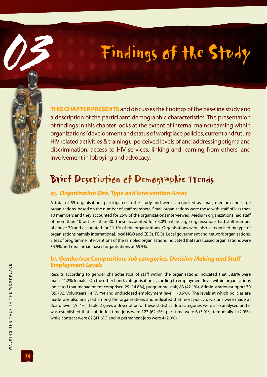## Findings of the Study

**THIS CHAPTER PRESENTS** and discusses the findings of the baseline study and a description of the participant demographic characteristics. The presentation of findings in this chapter looks at the extent of internal mainstreaming within organizations (development and status of workplace policies, current and future HIV related activities & training), perceived levels of and addressing stigma and discrimination, access to HIV services, linking and learning from others, and involvement in lobbying and advocacy.

### Brief Description of Demographic Trends

#### *a). Organization Size, Type and Intervention Areas*

A total of 55 organisations participated in the study and were categorised as small, medium and large organizations, based on the number of staff members. Small organizations were those with staff of less than 10 members and they accounted for 25% of the organizations interviewed. Medium organizations had staff of more than 10 but less than 30. These accounted for 63.0%, while large organizations had staff number of above 30 and accounted for 11.1% of the organizations. Organisations were also categorised by type of organisations namely international, local NGO and CBOs, FBOs, Local government and network organisations. Sites of programme interventions of the sampled organisations indicated that rural based organisations were 34.5% and rural urban based organisations at 65.5%.

#### *b). Gender/sex Composition, Job categories, Decision Making and Staff Employment Levels*

Results according to gender characteristics of staff within the organisations indicated that 58.8% were male, 41.2% female. On the other hand, categorisation according to employment level within organisations indicated that management comprised 29 (14.8%), programme staff, 83 (42.1%), Administration/support 70 (35.7%), Volunteers 14 (7.1%) and undisclosed employment level 1 (0.5%). The levels at which policies are made was also analysed among the organisations and indicated that most policy decisions were made at Board level (76.4%). Table 2 gives a description of these statistics. Job categories were also analysed and it was established that staff in full time jobs were 123 (62.4%), part time were 6 (3.0%), temporally 4 (2.0%), while contract were 82 (41.6%) and in permanent jobs were 4 (2.0%).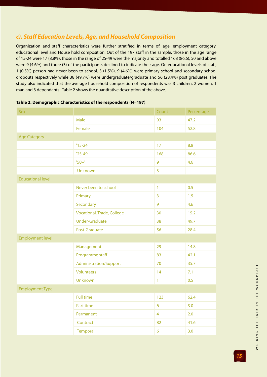#### *c). Staff Education Levels, Age, and Household Composition*

Organization and staff characteristics were further stratified in terms of, age, employment category, educational level and House hold composition. Out of the 197 staff in the sample, those in the age range of 15-24 were 17 (8.8%), those in the range of 25-49 were the majority and totalled 168 (86.6), 50 and above were 9 (4.6%) and three (3) of the participants declined to indicate their age. On educational levels of staff, 1 (0.5%) person had never been to school, 3 (1.5%), 9 (4.6%) were primary school and secondary school dropouts respectively while 38 (49.7%) were undergraduate/graduate and 56 (28.4%) post graduates. The study also indicated that the average household composition of respondents was 3 children, 2 women, 1 man and 3 dependants. Table 2 shows the quantitative description of the above.

| Sex                      |                                   | Count          | Percentage |
|--------------------------|-----------------------------------|----------------|------------|
|                          | Male                              | 93             | 47.2       |
|                          | Female                            | 104            | 52.8       |
| <b>Age Category</b>      |                                   |                |            |
|                          | $'15-24'$                         | 17             | 8.8        |
|                          | $'25-49'$                         | 168            | 86.6       |
|                          | $'50+'$                           | 9              | 4.6        |
|                          | <b>Unknown</b>                    | 3              |            |
| <b>Educational level</b> |                                   |                |            |
|                          | Never been to school              | $\overline{1}$ | 0.5        |
|                          | Primary                           | 3              | 1.5        |
|                          | Secondary                         | $\overline{9}$ | 4.6        |
|                          | <b>Vocational, Trade, College</b> | 30             | 15.2       |
|                          | <b>Under-Graduate</b>             | 38             | 49.7       |
|                          | Post-Graduate                     | 56             | 28.4       |
| <b>Employment level</b>  |                                   |                |            |
|                          | Management                        | 29             | 14.8       |
|                          | Programme staff                   | 83             | 42.1       |
|                          | <b>Administration/Support</b>     | 70             | 35.7       |
|                          | <b>Volunteers</b>                 | 14             | 7.1        |
|                          | <b>Unknown</b>                    | $\overline{1}$ | 0.5        |
| <b>Employment Type</b>   |                                   |                |            |
|                          | <b>Full time</b>                  | 123            | 62.4       |
|                          | Part time                         | 6              | 3.0        |
|                          | Permanent                         | $\overline{4}$ | 2.0        |
|                          | Contract                          | 82             | 41.6       |
|                          | Temporal                          | 6              | 3.0        |

#### **Table 2: Demographic Characteristics of the respondents (N=197)**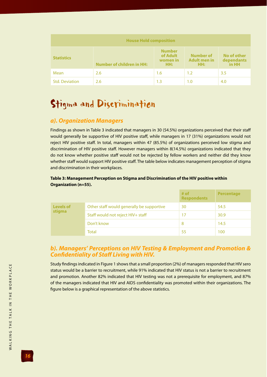| <b>House Hold composition</b> |                                  |                                              |                                                |                                    |
|-------------------------------|----------------------------------|----------------------------------------------|------------------------------------------------|------------------------------------|
| <b>Statistics</b>             | <b>Number of children in HH:</b> | <b>Number</b><br>of Adult<br>women in<br>HH: | <b>Number of</b><br><b>Adult men in</b><br>HH: | No of other<br>dependants<br>in HH |
| Mean                          | 2.6                              | 1.6                                          | 1.2                                            | 3.5                                |
| <b>Std. Deviation</b>         | 2.6                              | 1.3                                          | 1.0                                            | 4.0                                |

## Stigma and Discrimination

#### *a). Organization Managers*

Findings as shown in Table 3 indicated that managers in 30 (54.5%) organizations perceived that their staff would generally be supportive of HIV positive staff, while managers in 17 (31%) organizations would not reject HIV positive staff. In total, managers within 47 (85.5%) of organizations perceived low stigma and discrimination of HIV positive staff. However managers within 8(14.5%) organizations indicated that they do not know whether positive staff would not be rejected by fellow workers and neither did they know whether staff would support HIV positive staff. The table below indicates management perception of stigma and discrimination in their workplaces.

#### **Table 3: Management Perception on Stigma and Discrimination of the HIV positive within Organization (n=55).**

|           |                                           | # of<br><b>Respondents</b> | <b>Percentage</b> |
|-----------|-------------------------------------------|----------------------------|-------------------|
| Levels of | Other staff would generally be supportive | 30                         | 54.5              |
| stigma    | Staff would not reject HIV+ staff         |                            | 30.9              |
|           | Don't know                                | 8                          | 14.5              |
|           | Total                                     | 55                         | 100               |

#### *b). Managers' Perceptions on HIV Testing & Employment and Promotion & Confidentiality of Staff Living with HIV.*

Study findings indicated in Figure 1 shows that a small proportion (2%) of managers responded that HIV sero status would be a barrier to recruitment, while 91% indicated that HIV status is not a barrier to recruitment and promotion. Another 82% indicated that HIV testing was not a prerequisite for employment, and 87% of the managers indicated that HIV and AIDS confidentiality was promoted within their organizations. The figure below is a graphical representation of the above statistics.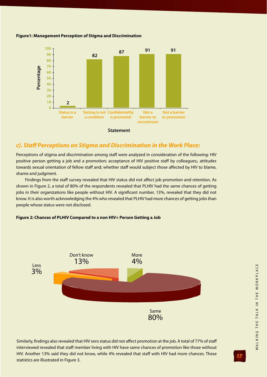#### **Figure1: Management Perception of Stigma and Discrimination**



#### *c). Staff Perceptions on Stigma and Discrimination in the Work Place:*

Perceptions of stigma and discrimination among staff were analyzed in consideration of the following: HIV positive person getting a job and a promotion; acceptance of HIV positive staff by colleagues;, attitudes towards sexual orientation of fellow staff and; whether staff would subject those affected by HIV to blame, shame and judgment.

Findings from the staff survey revealed that HIV status did not affect job promotion and retention. As shown in Figure 2, a total of 80% of the respondents revealed that PLHIV had the same chances of getting jobs in their organizations like people without HIV. A significant number, 13%, revealed that they did not know. It is also worth acknowledging the 4% who revealed that PLHIV had more chances of getting jobs than people whose status were not disclosed.

#### **Figure 2: Chances of PLHIV Compared to a non HIV+ Person Getting a Job**

![](_page_18_Figure_6.jpeg)

Similarly, findings also revealed that HIV sero status did not affect promotion at the job. A total of 77% of staff interviewed revealed that staff member living with HIV have same chances of promotion like those without HIV. Another 13% said they did not know, while 4% revealed that staff with HIV had more chances. These statistics are illustrated in Figure 3.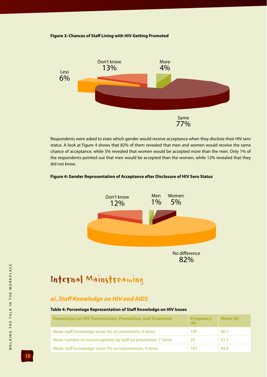![](_page_19_Figure_0.jpeg)

![](_page_19_Figure_1.jpeg)

Respondents were asked to state which gender would receive acceptance when they disclose their HIV sero status. A look at Figure 4 shows that 82% of them revealed that men and women would receive the same chance of acceptance, while 5% revealed that women would be accepted more than the men. Only 1% of the respondents pointed out that men would be accepted than the women, while 12% revealed that they did not know.

![](_page_19_Figure_3.jpeg)

#### **Figure 4: Gender Representation of Acceptance after Disclosure of HIV Sero Status**

### Internal Mainstreaming

#### *a). Staff Knowledge on HIV and AIDS*

#### **Table 4: Percentage Representation of Staff Knowledge on HIV Issues**

| <b>Knowledge on HIV Transmission, Prevention, and Treatment</b> | <b>Frequency</b><br>(N) | Mean (N) |
|-----------------------------------------------------------------|-------------------------|----------|
| Mean staff knowledge score (%) on prevention, 4 items           | 197                     | 90.7     |
| Mean number of misconceptions by staff on prevention, 7 items   | 25                      | 21.7     |
| Mean staff knowledge score (%) on transmission, 9 items         | 197                     | 85.6     |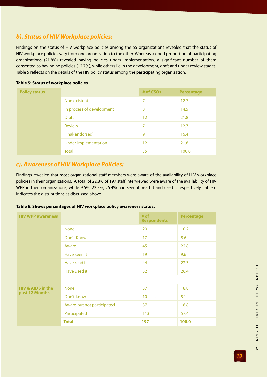#### *b). Status of HIV Workplace policies:*

Findings on the status of HIV workplace policies among the 55 organizations revealed that the status of HIV workplace policies vary from one organization to the other. Whereas a good proportion of participating organizations (21.8%) revealed having policies under implementation, a significant number of them consented to having no policies (12.7%), while others lie in the development, draft and under review stages. Table 5 reflects on the details of the HIV policy status among the participating organization.

| <b>Policy status</b> |                           | # of CSOs | <b>Percentage</b> |
|----------------------|---------------------------|-----------|-------------------|
|                      | Non existent              | 7         | 12.7              |
|                      | In process of development | 8         | 14.5              |
|                      | <b>Draft</b>              | 12        | 21.8              |
|                      | Review                    | 7         | 12.7              |
|                      | Final(endorsed)           | 9         | 16.4              |
|                      | Under implementation      | 12        | 21.8              |
|                      | Total                     | 55        | 100.0             |

#### **Table 5: Status of workplace policies**

#### *c). Awareness of HIV Workplace Policies:*

Findings revealed that most organizational staff members were aware of the availability of HIV workplace policies in their organizations. A total of 22.8% of 197 staff interviewed were aware of the availability of HIV WPP in their organizations, while 9.6%, 22.3%, 26.4% had seen it, read it and used it respectively. Table 6 indicates the distributions as discussed above

#### **Table 6: Shows percentages of HIV workplace policy awareness status.**

| <b>HIV WPP awareness</b>     |                            | # of<br><b>Respondents</b> | <b>Percentage</b> |
|------------------------------|----------------------------|----------------------------|-------------------|
|                              | <b>None</b>                | 20                         | 10.2              |
|                              | Don't Know                 | 17                         | 8.6               |
|                              | Aware                      | 45                         | 22.8              |
|                              | Have seen it               | 19                         | 9.6               |
|                              | Have read it               | 44                         | 22.3              |
|                              | Have used it               | 52                         | 26.4              |
|                              |                            |                            |                   |
| <b>HIV &amp; AIDS in the</b> | <b>None</b>                | 37                         | 18.8              |
| past 12 Months               | Don't know                 | $10$                       | 5.1               |
|                              | Aware but not participated | 37                         | 18.8              |
|                              | Participated               | 113                        | 57.4              |
|                              | <b>Total</b>               | 197                        | 100.0             |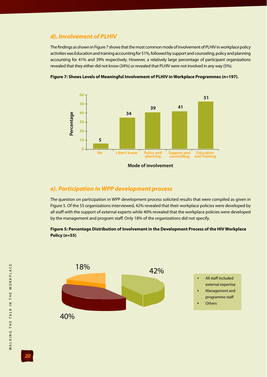#### *d). Involvement of PLHIV*

The findings as shown in Figure 7 shows that the most common mode of involvement of PLHIV in workplace policy activities was Education and training accounting for 51%, followed by support and counseling, policy and planning accounting for 41% and 39% respectively. However, a relatively large percentage of participant organizations revealed that they either did not know (34%) or revealed that PLHIV were not involved in any way (5%).

![](_page_21_Figure_2.jpeg)

**Figure 7: Shows Levels of Meaningful Involvement of PLHIV in Workplace Programmes (n=197).**

#### **Mode of involvement**

#### *e). Participation in WPP development process*

The question on participation in WPP development process solicited results that were compiled as given in Figure 5. Of the 55 organizations interviewed, 42% revealed that their workplace policies were developed by all staff with the support of external experts while 40% revealed that the workplace policies were developed by the management and program staff. Only 18% of the organizations did not specify.

#### **Figure 5: Percentage Distribution of Involvement in the Development Process of the HIV Workplace Policy (n=55)**

![](_page_21_Figure_8.jpeg)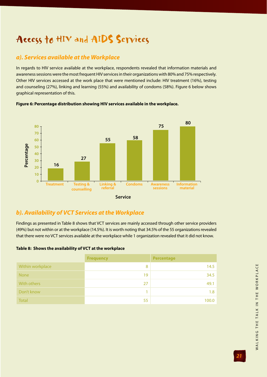## Access to HIV and AIDS Services

#### *a). Services available at the Workplace*

In regards to HIV service available at the workplace, respondents revealed that information materials and awareness sessions were the most frequent HIV services in their organizations with 80% and 75% respectively. Other HIV services accessed at the work place that were mentioned include: HIV treatment (16%), testing and counseling (27%), linking and learning (55%) and availability of condoms (58%). Figure 6 below shows graphical representation of this.

![](_page_22_Figure_3.jpeg)

#### **Figure 6: Percentage distribution showing HIV services available in the workplace.**

#### *b). Availability of VCT Services at the Workplace*

Findings as presented in Table 8 shows that VCT services are mainly accessed through other service providers (49%) but not within or at the workplace (14.5%). It is worth noting that 34.5% of the 55 organizations revealed that there were no VCT services available at the workplace while 1 organization revealed that it did not know.

#### **Table 8: Shows the availability of VCT at the workplace**

|                  | <b>Frequency</b> | Percentage |
|------------------|------------------|------------|
| Within workplace | 8                | 14.5       |
| None             | 19               | 34.5       |
| With others      | 27               | 49.1       |
| Don't know       |                  | 1.8        |
| <b>Total</b>     | 55               | 100.0      |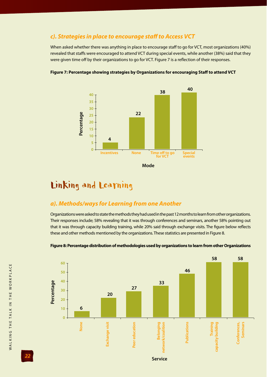#### *c). Strategies in place to encourage staff to Access VCT*

When asked whether there was anything in place to encourage staff to go for VCT, most organizations (40%) revealed that staffs were encouraged to attend VCT during special events, while another (38%) said that they were given time off by their organizations to go for VCT. Figure 7 is a reflection of their responses.

![](_page_23_Figure_2.jpeg)

![](_page_23_Figure_3.jpeg)

### Linking and Learning

#### *a). Methods/ways for Learning from one Another*

Organizations were asked to state the methods they had used in the past 12 months to learn from other organizations. Their responses include; 58% revealing that it was through conferences and seminars, another 58% pointing out that it was through capacity building training, while 20% said through exchange visits. The figure below reflects these and other methods mentioned by the organizations. These statistics are presented in Figure 8.

![](_page_23_Figure_7.jpeg)

![](_page_23_Figure_8.jpeg)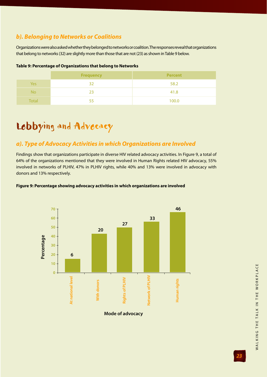#### *b). Belonging to Networks or Coalitions*

Organizations were also asked whether they belonged to networks or coalition. The responses reveal that organizations that belong to networks (32) are slightly more than those that are not (23) as shown in Table 9 below.

|                | <b>Frequency</b> | <b>Percent</b> |
|----------------|------------------|----------------|
| <b>Yes</b>     | 32               | 58.2           |
| N <sub>o</sub> | 23               | 41.8           |
| <b>Total</b>   | 55               | 100.0          |

#### **Table 9: Percentage of Organizations that belong to Networks**

## Lobbying and Advocacy

#### *a). Type of Advocacy Activities in which Organizations are Involved*

Findings show that organizations participate in diverse HIV related advocacy activities. In Figure 9, a total of 64% of the organizations mentioned that they were involved in Human Rights related HIV advocacy, 55% involved in networks of PLHIV, 47% in PLHIV rights, while 40% and 13% were involved in advocacy with donors and 13% respectively.

![](_page_24_Figure_7.jpeg)

![](_page_24_Figure_8.jpeg)

WALKING THE TALK IN THE WORKPLACE WALKING THE TALK IN THE WORKPLACE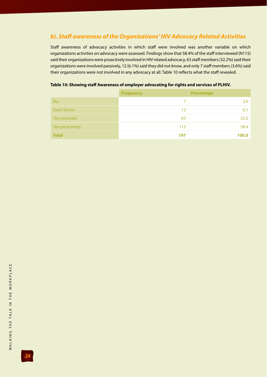#### *b). Staff awareness of the Organizations' HIV Advocacy Related Activities*

Staff awareness of advocacy activities in which staff were involved was another variable on which organizations activities on advocacy were assessed. Findings show that 58.4% of the staff interviewed (N115) said their organizations were proactively involved in HIV related advocacy, 63 staff members (32.2%) said their organizations were involved passively, 12 (6.1%) said they did not know, and only 7 staff members (3.6%) said their organizations were not involved in any advocacy at all. Table 10 reflects what the staff revealed.

|                 | <b>Frequency</b> | <b>Percentage</b> |
|-----------------|------------------|-------------------|
| <b>No</b>       | 7                | 3.6               |
| Don't know      | 12               | 6.1               |
| Yes passively   | 63               | 32.0              |
| Yes proactively | 115              | 58.4              |
| <b>Total</b>    | 197              | 100.0             |

#### **Table 10: Showing staff Awareness of employer advocating for rights and services of PLHIV.**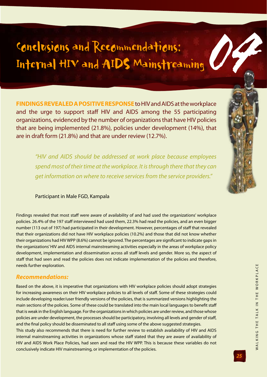## Conclusions and Recommendations: Internal HIV and AIDS Mainstreaming

**FINDINGS REVEALED A POSITIVE RESPONSE** to HIV and AIDS at the workplace and the urge to support staff HIV and AIDS among the 55 participating organizations, evidenced by the number of organizations that have HIV policies that are being implemented (21.8%), policies under development (14%), that are in draft form (21.8%) and that are under review (12.7%).

*"HIV and AIDS should be addressed at work place because employees spend most of their time at the workplace. It is through there that they can get information on where to receive services from the service providers."* 

#### Participant in Male FGD, Kampala

Findings revealed that most staff were aware of availability of and had used the organizations' workplace policies. 26.4% of the 197 staff interviewed had used them, 22.3% had read the policies, and an even bigger number (113 out of 197) had participated in their development. However, percentages of staff that revealed that their organizations did not have HIV workplace policies (10.2%) and those that did not know whether their organizations had HIV WPP (8.6%) cannot be ignored. The percentages are significant to indicate gaps in the organizations' HIV and AIDS internal mainstreaming activities especially in the areas of workplace policy development, implementation and dissemination across all staff levels and gender. More so, the aspect of staff that had seen and read the policies does not indicate implementation of the policies and therefore, needs further exploration.

#### *Recommendations:*

Based on the above, it is imperative that organizations with HIV workplace policies should adopt strategies for increasing awareness on their HIV workplace policies to all levels of staff. Some of these strategies could include developing reader/user friendly versions of the policies, that is summarized versions highlighting the main sections of the policies. Some of these could be translated into the main local languages to benefit staff that is weak in the English language. For the organizations in which policies are under review, and those whose policies are under development, the processes should be participatory, involving all levels and gender of staff, and the final policy should be disseminated to all staff using some of the above suggested strategies.

This study also recommends that there is need for further review to establish availability of HIV and AIDS internal mainstreaming activities in organizations whose staff stated that they are aware of availability of HIV and AIDS Work Place Policies, had seen and read the HIV WPP. This is because these variables do not conclusively indicate HIV mainstreaming, or implementation of the policies.

![](_page_26_Picture_8.jpeg)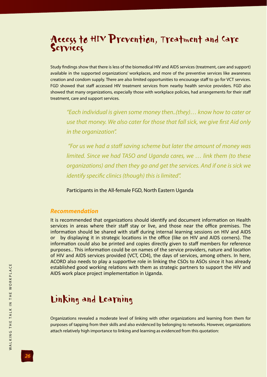## Access to HIV Prevention, Treatment and Care<br>Services

Study findings show that there is less of the biomedical HIV and AIDS services (treatment, care and support) available in the supported organizations' workplaces, and more of the preventive services like awareness creation and condom supply. There are also limited opportunities to encourage staff to go for VCT services. FGD showed that staff accessed HIV treatment services from nearby health service providers. FGD also showed that many organizations, especially those with workplace policies, had arrangements for their staff treatment, care and support services.

*"Each individual is given some money then..(they)… know how to cater or use that money. We also cater for those that fall sick, we give first Aid only in the organization".*

 *"For us we had a staff saving scheme but later the amount of money was limited. Since we had TASO and Uganda cares, we … link them (to these organizations) and then they go and get the services. And if one is sick we identify specific clinics (though) this is limited".* 

Participants in the All-female FGD, North Eastern Uganda

#### *Recommendation*

It is recommended that organizations should identify and document information on Health services in areas where their staff stay or live, and those near the office premises. The information should be shared with staff during internal learning sessions on HIV and AIDS or by displaying it in strategic locations in the office (like on HIV and AIDS corners). The information could also be printed and copies directly given to staff members for reference purposes.. This information could be on names of the service providers, nature and location of HIV and AIDS services provided (VCT, CD4), the days of services, among others. In here, ACORD also needs to play a supportive role in linking the CSOs to ASOs since it has already established good working relations with them as strategic partners to support the HIV and AIDS work place project implementation in Uganda.

### Linking and Learning

Organizations revealed a moderate level of linking with other organizations and learning from them for purposes of tapping from their skills and also evidenced by belonging to networks. However, organizations attach relatively high importance to linking and learning as evidenced from this quotation: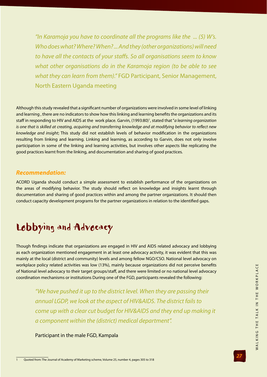*"In Karamoja you have to coordinate all the programs like the ... (5) W's. Who does what? Where? When? ... And they (other organizations) will need to have all the contacts of your staffs. So all organisations seem to know what other organisations do in the Karamoja region (to be able to see what they can learn from them)."* FGD Participant, Senior Management, North Eastern Uganda meeting

Although this study revealed that a significant number of organizations were involved in some level of linking and learning , there are no indicators to show how this linking and learning benefits the organizations and its staff in responding to HIV and AIDS at the work place. Garvin, (1993:80)<sup>1</sup>, stated that *"a learning organization is one that is skilled at creating, acquiring and transferring knowledge and at modifying behavior to reflect new knowledge and insight*; This study did not establish levels of behavior modification in the organizations resulting from linking and learning. Linking and learning, as according to Garvin, does not only involve participation in some of the linking and learning activities, but involves other aspects like replicating the good practices learnt from the linking, and documentation and sharing of good practices.

#### *Recommendation:*

ACORD Uganda should conduct a simple assessment to establish performance of the organizations on the areas of modifying behavior. The study should reflect on knowledge and insights learnt through documentation and sharing of good practices within and among the partner organizations. It should then conduct capacity development programs for the partner organizations in relation to the identified gaps.

## Lobbying and Advocacy

Though findings indicate that organizations are engaged in HIV and AIDS related advocacy and lobbying as each organization mentioned engagement in at least one advocacy activity, it was evident that this was mainly at the local (district and community) levels and among fellow NGO/CSO. National level advocacy on workplace policy related activities was low (13%), mainly because organizations did not perceive benefits of National level advocacy to their target groups/staff, and there were limited or no national level advocacy coordination mechanisms or institutions During one of the FGD, participants revealed the following:

*"We have pushed it up to the district level. When they are passing their annual LGDP, we look at the aspect of HIV&AIDS. The district fails to come up with a clear cut budget for HIV&AIDS and they end up making it a component within the (district) medical department".* 

Participant in the male FGD, Kampala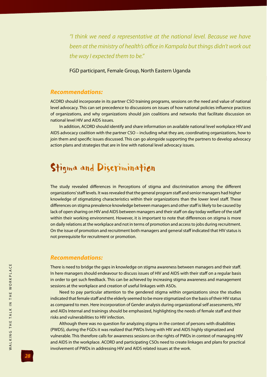*"I think we need a representative at the national level. Because we have been at the ministry of health's office in Kampala but things didn't work out the way I expected them to be."* 

FGD participant, Female Group, North Eastern Uganda

#### *Recommendations:*

ACORD should incorporate in its partner CSO training programs, sessions on the need and value of national level advocacy. This can set precedence to discussions on issues of how national policies influence practices of organizations, and why organizations should join coalitions and networks that facilitate discussion on national level HIV and AIDS issues.

In addition, ACORD should identify and share information on available national level workplace HIV and AIDS advocacy coalition with the partner CSO – including what they are, coordinating organizations, how to join them and specific issues discussed. This can go alongside supporting the partners to develop advocacy action plans and strategies that are in line with national level advocacy issues.

### Stigma and Discrimination

The study revealed differences in Perceptions of stigma and discrimination among the different organizations' staff levels. It was revealed that the general program staff and senior managers had higher knowledge of stigmatizing characteristics within their organizations than the lower level staff. These differences on stigma prevalence knowledge between managers and other staff is likely to be caused by lack of open sharing on HIV and AIDS between managers and their staff on day today welfare of the staff within their working environment. However, it is important to note that differences on stigma is more on daily relations at the workplace and not in terms of promotion and access to jobs during recruitment. On the issue of promotion and recruitment both managers and general staff indicated that HIV status is not prerequisite for recruitment or promotion.

#### *Recommendations:*

There is need to bridge the gaps in knowledge on stigma awareness between managers and their staff. In here managers should endeavour to discuss issues of HIV and AIDS with their staff on a regular basis in order to get such feedback. This can be achieved by increasing stigma awareness and management sessions at the workplace and creation of useful linkages with ASOs.

Need to pay particular attention to the gendered stigma within organizations since the studies indicated that female staff and the elderly seemed to be more stigmatized on the basis of their HIV status as compared to men. Here incorporation of Gender analysis during organizational self assessments, HIV and AIDs Internal and trainings should be emphasized, highlighting the needs of female staff and their risks and vulnerabilities to HIV infection.

Although there was no question for analyzing stigma in the context of persons with disabilities (PWDS), during the FGDs it was realized that PWDs living with HIV and AIDS highly stigmatized and vulnerable. This therefore calls for awareness sessions on the rights of PWDs in context of managing HIV and AIDS in the workplace. ACORD and participating CSOs need to create linkages and plans for practical involvement of PWDs in addressing HIV and AIDS related issues at the work.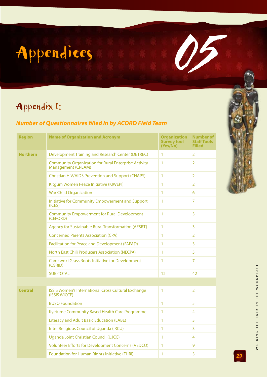# Appendices 05

## Appendix I:

#### *Number of Questionnaires filled in by ACORD Field Team*

| <b>Region</b>   | <b>Name of Organization and Acronym</b>                                                  | <b>Organization</b><br><b>Survey tool</b><br>(Yes/No) | Number of<br><b>Staff Tools</b><br><b>Filled</b> |
|-----------------|------------------------------------------------------------------------------------------|-------------------------------------------------------|--------------------------------------------------|
| <b>Northern</b> | Development Training and Research Center (DETREC)                                        | $\mathbf{1}$                                          | $\overline{2}$                                   |
|                 | <b>Community Organization for Rural Enterprise Activity</b><br><b>Management (CREAM)</b> | $\mathbf{1}$                                          | $\overline{2}$                                   |
|                 | <b>Christian HIV/AIDS Prevention and Support (CHAPS)</b>                                 | $\mathbf{1}$                                          | $\overline{2}$                                   |
|                 | Kitgum Women Peace Initiative (KIWEPI)                                                   | $\mathbf{1}$                                          | $\overline{2}$                                   |
|                 | <b>War Child Organization</b>                                                            | 1                                                     | 6                                                |
|                 | <b>Initiative for Community Empowerment and Support</b><br>(ICES)                        | $\mathbf{1}$                                          | $\overline{7}$                                   |
|                 | <b>Community Empowerment for Rural Development</b><br>(CEFORD)                           | 1                                                     | 3                                                |
|                 | Agency for Sustainable Rural Transformation (AFSRT)                                      | $\mathbf{1}$                                          | $\overline{3}$                                   |
|                 | <b>Concerned Parents Association (CPA)</b>                                               | 1                                                     | $\overline{2}$                                   |
|                 | Facilitation for Peace and Development (FAPAD)                                           | $\mathbf{1}$                                          | $\overline{3}$                                   |
|                 | <b>North East Chili Producers Association (NECPA)</b>                                    | $\mathbf{1}$                                          | 3                                                |
|                 | Camkwoki Grass Roots Initiative for Development<br>(CGRID)                               | 1                                                     | 7                                                |
|                 | <b>SUB-TOTAL</b>                                                                         | 12                                                    | 42                                               |
|                 |                                                                                          |                                                       |                                                  |
| <b>Central</b>  | <b>ISSIS Women's International Cross Cultural Exchange</b><br>(ISSIS WICCE)              | 1                                                     | $\overline{2}$                                   |
|                 | <b>BUSO Foundation</b>                                                                   | $\mathbf{1}$                                          | 5                                                |
|                 | Kyetume Community Based Health Care Programme                                            | $\mathbf{1}$                                          | 4                                                |
|                 | <b>Literacy and Adult Basic Education (LABE)</b>                                         | $\mathbf{1}$                                          | 3                                                |
|                 | Inter Religious Council of Uganda (IRCU)                                                 | $\mathbf{1}$                                          | 3                                                |
|                 | Uganda Joint Christian Council (UJCC)                                                    | $\mathbf{1}$                                          | 4                                                |
|                 | <b>Volunteer Efforts for Development Concerns (VEDCO)</b>                                | $\mathbf{1}$                                          | 9                                                |
|                 | Foundation for Human Rights Initiative (FHRI)                                            | 1                                                     | 3                                                |

![](_page_30_Picture_4.jpeg)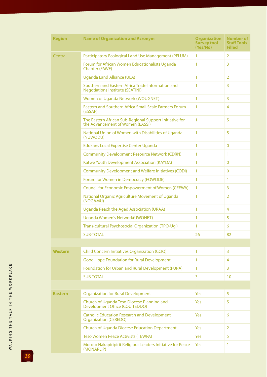| <b>Region</b>  | <b>Name of Organization and Acronym</b>                                                      | <b>Organization</b><br><b>Survey tool</b><br>(Yes/No) | <b>Number of</b><br><b>Staff Tools</b><br><b>Filled</b> |
|----------------|----------------------------------------------------------------------------------------------|-------------------------------------------------------|---------------------------------------------------------|
| Central        | Participatory Ecological Land Use Management (PELUM)                                         | $\mathbf{1}$                                          | $\overline{2}$                                          |
|                | Forum for African Women Educationalists Uganda<br><b>Chapter (FAWE)</b>                      | 1                                                     | 3                                                       |
|                | <b>Uganda Land Alliance (ULA)</b>                                                            | 1                                                     | $\overline{2}$                                          |
|                | Southern and Eastern Africa Trade Information and<br><b>Negotiations Institute (SEATINI)</b> | 1                                                     | 3                                                       |
|                | Women of Uganda Network (WOUGNET)                                                            | $\mathbf{1}$                                          | 3                                                       |
|                | <b>Eastern and Southern Africa Small Scale Farmers Forum</b><br>(ESSAF)                      | 1                                                     | 4                                                       |
|                | The Eastern African Sub-Regional Support Initiative for<br>the Advancement of Women (EASSI)  | $\mathbf{1}$                                          | 5                                                       |
|                | National Union of Women with Disabilities of Uganda<br>(NUWODU)                              | 1                                                     | 5                                                       |
|                | <b>Edukans Local Expertise Center Uganda</b>                                                 | $\mathbf{1}$                                          | $\mathbf{0}$                                            |
|                | <b>Community Development Resource Network (CDRN)</b>                                         | $\mathbf{1}$                                          | 1                                                       |
|                | Katwe Youth Development Association (KAYDA)                                                  | $\mathbf{1}$                                          | 0                                                       |
|                | <b>Community Development and Welfare Initiatives (CODI)</b>                                  | $\mathbf{1}$                                          | 0                                                       |
|                | Forum for Women in Democracy (FOWODE)                                                        | $\mathbf{1}$                                          | $\mathbf{1}$                                            |
|                | <b>Council for Economic Empowerment of Women (CEEWA)</b>                                     | $\mathbf{1}$                                          | 3                                                       |
|                | National Organic Agriculture Movement of Uganda<br>(NOGAMU)                                  | 1                                                     | 2                                                       |
|                | <b>Uganda Reach the Aged Association (URAA)</b>                                              | 1                                                     | 4                                                       |
|                | Uganda Women's Network(UWONET)                                                               | $\mathbf{1}$                                          | 5                                                       |
|                | Trans-cultural Psychosocial Organization (TPO-Ug.)                                           | 1                                                     | 6                                                       |
|                | <b>SUB-TOTAL</b>                                                                             | 26                                                    | 82                                                      |
|                |                                                                                              |                                                       |                                                         |
| <b>Western</b> | <b>Child Concern Initiatives Organization (CCIO)</b>                                         | $\mathbf{1}$                                          | 3                                                       |
|                | <b>Good Hope Foundation for Rural Development</b>                                            | 1                                                     | 4                                                       |
|                | Foundation for Urban and Rural Development (FURA)                                            | 1                                                     | 3                                                       |
|                | <b>SUB-TOTAL</b>                                                                             | 3                                                     | 10                                                      |
|                |                                                                                              |                                                       |                                                         |
| <b>Eastern</b> | <b>Organization for Rural Development</b>                                                    | Yes                                                   | 5                                                       |
|                | Church of Uganda Teso Diocese Planning and<br>Development Office (COU TEDDO)                 | Yes                                                   | 5                                                       |
|                | <b>Catholic Education Research and Development</b><br><b>Organization (CEREDO)</b>           | Yes                                                   | 6                                                       |
|                | <b>Church of Uganda Diocese Education Department</b>                                         | Yes                                                   | 2                                                       |
|                | <b>Teso Women Peace Activists (TEWPA)</b>                                                    | Yes                                                   | 5                                                       |
|                | Moroto Nakapiripirit Religious Leaders Initiative for Peace<br>(MONARLIP)                    | Yes                                                   | 1                                                       |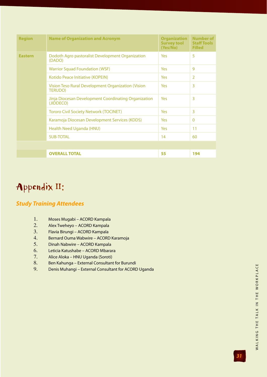| <b>Region</b>  | <b>Name of Organization and Acronym</b>                              | <b>Organization</b><br><b>Survey tool</b><br>(Yes/No) | <b>Number of</b><br><b>Staff Tools</b><br><b>Filled</b> |
|----------------|----------------------------------------------------------------------|-------------------------------------------------------|---------------------------------------------------------|
| <b>Eastern</b> | Dodoth Agro pastoralist Development Organization<br>(DADO)           | Yes                                                   | 5                                                       |
|                | <b>Warrior Squad Foundation (WSF)</b>                                | Yes.                                                  | 9                                                       |
|                | Kotido Peace Initiative (KOPEIN)                                     | Yes.                                                  | 2                                                       |
|                | Vision Teso Rural Development Organization (Vision<br><b>TERUDO)</b> | Yes                                                   | 3                                                       |
|                | Jinja Diocesan Development Coordinating Organization<br>(JIDDECO)    | Yes                                                   | 3                                                       |
|                | <b>Tororo Civil Society Network (TOCINET)</b>                        | Yes                                                   | 3                                                       |
|                | Karamoja Diocesan Development Services (KDDS)                        | <b>Yes</b>                                            | $\Omega$                                                |
|                | Health Need Uganda (HNU)                                             | <b>Yes</b>                                            | 11                                                      |
|                | <b>SUB-TOTAL</b>                                                     | 14                                                    | 60                                                      |
|                |                                                                      |                                                       |                                                         |
|                | <b>OVERALL TOTAL</b>                                                 | 55                                                    | 194                                                     |

### Appendix II:

#### *Study Training Attendees*

- 1. Moses Mugabi ACORD Kampala
- 2. Alex Tweheyo ACORD Kampala
- 3. Flavia Birungi ACORD Kampala
- 4. Bernard Ouma Wabwire ACORD Karamoja
- 5. Dinah Nabwire ACORD Kampala
- 6. Leticia Katushabe ACORD Mbarara
- 7. Alice Aloka HNU Uganda (Soroti)
- 8. Ben Kahunga External Consultant for Burundi
- 9. Denis Muhangi External Consultant for ACORD Uganda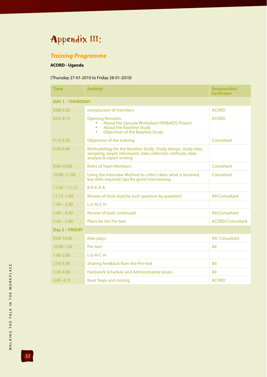## Appendix III:

#### *Training Programme*

#### **ACORD - Uganda**

#### (Thursday 27-01-2010 to Friday 28-01-2010)

| <b>Time</b>             | <b>Activity</b>                                                                                                                                                    | <b>Responsible/</b><br><b>Facilitator</b> |
|-------------------------|--------------------------------------------------------------------------------------------------------------------------------------------------------------------|-------------------------------------------|
| <b>DAY 1 - THURSDAY</b> |                                                                                                                                                                    |                                           |
| $9.00 - 9.05$           | Introduction of members                                                                                                                                            | <b>ACORD</b>                              |
| $9.05 - 9.15$           | <b>Opening Remarks:</b><br>About the Upscale Workplace HIV&AIDS Project<br><b>About the Baseline Study</b><br><b>Objectives of the Baseline Study</b><br>$\bullet$ | <b>ACORD</b>                              |
| $9.15 - 9.20$           | Objectives of the training                                                                                                                                         | Consultant                                |
| $9.20 - 9.40$           | Methodology for the Baseline Study: Study design, study sites,<br>sampling, target informants, data collection methods, data<br>analysis & report writing          |                                           |
| 9.40-10.00              | <b>Roles of Team Members</b>                                                                                                                                       | Consultant                                |
| 10.00-11.00             | Using the Interview Method to collect data: what is involved,<br>key skills required, tips for good interviewing                                                   | Consultant                                |
| $11.00 - 11.15$         | $B-R-F-A-K$                                                                                                                                                        |                                           |
| $11.15 - 1.00$          | Review of tools (tool by tool; question by question)                                                                                                               | All/Consultant                            |
| $1.00 - 2.00$           | I-U-N-C-H                                                                                                                                                          |                                           |
| $2.00 - 4.30$           | Review of tools continued                                                                                                                                          | All/Consultant                            |
| $4.30 - 5.00$           | Plans for the Pre-test                                                                                                                                             | <b>ACORD/Consultant</b>                   |
| Day 2 - FRIDAY          |                                                                                                                                                                    |                                           |
| $9.00 - 10.00$          | Role plays                                                                                                                                                         | <b>All/Consultant</b>                     |
| 10.00-1.00              | Pre-test                                                                                                                                                           | All                                       |
| $1.00 - 2.00$           | I-U-N-C-H                                                                                                                                                          |                                           |
| $2.00 - 3.30$           | Sharing feedback from the Pre-test                                                                                                                                 | All                                       |
| 3.30-4.00               | <b>Fieldwork Schedule and Administrative Issues</b>                                                                                                                | All                                       |
| $4.00 - 4.15$           | <b>Next Steps and closing</b>                                                                                                                                      | <b>ACORD</b>                              |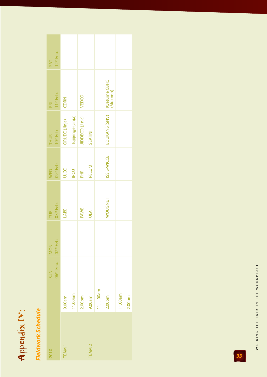| Ξ<br>ì,            |
|--------------------|
| ⊂<br>$\mathcal{L}$ |

## **Fieldwork Schedule** *Fieldwork Schedule*

| 2010          |                                         | SUN<br>06 <sup>th</sup> Feb. | 07 <sup>th</sup> Feb.<br><b>MON</b> | 08 <sup>th</sup> Feb.<br><b>TUE</b> | 09 <sup>th</sup> Feb.<br><b>WED</b> | THUR<br>10 <sup>th</sup> Feb | 11 <sup>th</sup> Feb.<br>FRI | 12 <sup>th</sup> Feb.<br><b>TKS</b> |
|---------------|-----------------------------------------|------------------------------|-------------------------------------|-------------------------------------|-------------------------------------|------------------------------|------------------------------|-------------------------------------|
| <b>TEAM1</b>  | 9.00am                                  |                              |                                     | LABE                                | <b>UJCC</b>                         | ORUDE (Jinja)                | CDRN                         |                                     |
|               | 11.00am                                 |                              |                                     |                                     | <b>IRCU</b>                         | Tujijenge (Jinja)            |                              |                                     |
|               |                                         |                              |                                     | <b>FAWE</b>                         | 臣<br>王                              | JIDDECO (Jinja)              | VEDCO                        |                                     |
| <b>TEAM 2</b> | $\frac{2.00 \text{pm}}{9.00 \text{am}}$ |                              |                                     | $\sum_{i=1}^{n}$                    | <b>PELUM</b>                        | <b>SEATINI</b>               |                              |                                     |
|               | $1100$ am                               |                              |                                     |                                     |                                     |                              |                              |                                     |
|               | 2.00 <sub>pm</sub>                      |                              |                                     | WOUGNET                             | ISSIS-WICCE                         | EDUKANS (SNV)                | Kyetume CBHC<br>(Mukono)     |                                     |
|               | 11.00am                                 |                              |                                     |                                     |                                     |                              |                              |                                     |
|               | 2.00pm                                  |                              |                                     |                                     |                                     |                              |                              |                                     |

*33*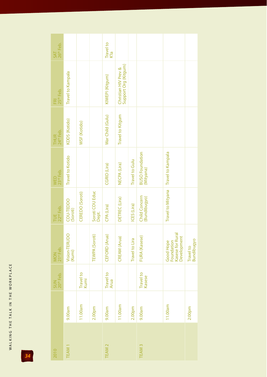| WALKING THE TALK IN THE WORKPLACE | 34<br>ľ |  |
|-----------------------------------|---------|--|

| FRI<br>25 <sup>th</sup> Feb.<br>THUR<br>24 <sup>th</sup> Feb. | Travel to Kampala<br><b>KDDS</b> (Kotido)<br>Travel to Kotido | WSF (Kotido)      |                          | KIWEPI (Kitgum)<br>War Child (Gulu) | Support Org (Kitgum)<br>Christian HIV Prev &<br>Travel to Kitgum | Travel to Gulu | <b>BUSO Foundation</b>                     | Travel to Kampala                                         |                         |
|---------------------------------------------------------------|---------------------------------------------------------------|-------------------|--------------------------|-------------------------------------|------------------------------------------------------------------|----------------|--------------------------------------------|-----------------------------------------------------------|-------------------------|
| WED<br>23 <sup>rd</sup> Feb.<br>$22nd$ Feb.<br>TUE            | COU-TEDDO<br>(Soroti)                                         | CEREDO (Soroti)   | Soroti COU Educ<br>Dept. | CGRID (Lira)<br>CPA (Lira)          | NECPA (Lira)<br>DETREC (Lira)                                    | ICES (Lira)    | (Mityana)<br>Child Concern<br>(Bundibugyo) | Travel to Mityana                                         |                         |
| $21st$ Feb.<br><b>MON</b>                                     | Vision-TERUDO<br>(Kumi)                                       |                   | <b>TEWPA (Soroti)</b>    | <b>CEFORD (Arua)</b>                | CREAM (Arua)                                                     | Travel to Lira | FURA (Kasese)                              | Kasese for Rura<br>Development<br>Good Hope<br>Foundation | Bundibugyo<br>Travel to |
| 20 <sup>th</sup> Feb.<br><b>NUS</b>                           |                                                               | Travel to<br>Kumi |                          | Travel to<br>Arua                   |                                                                  |                | Travel to<br>Kasese                        |                                                           |                         |
|                                                               | 9.00am                                                        | 11.00am           | 2.00pm                   | 9.00am                              | 11.00am                                                          | 2.00pm         | 9.00am                                     | 11.00am                                                   | 2:00pm                  |
| 2010                                                          | <b>TEAM1</b>                                                  |                   |                          | <b>TEAM 2</b>                       |                                                                  |                | TEAM <sub>3</sub>                          |                                                           |                         |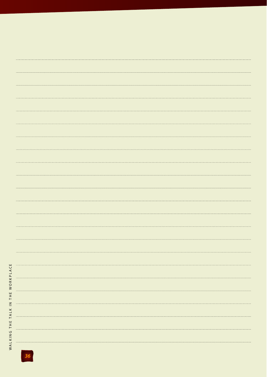*36*

![](_page_37_Picture_1.jpeg)